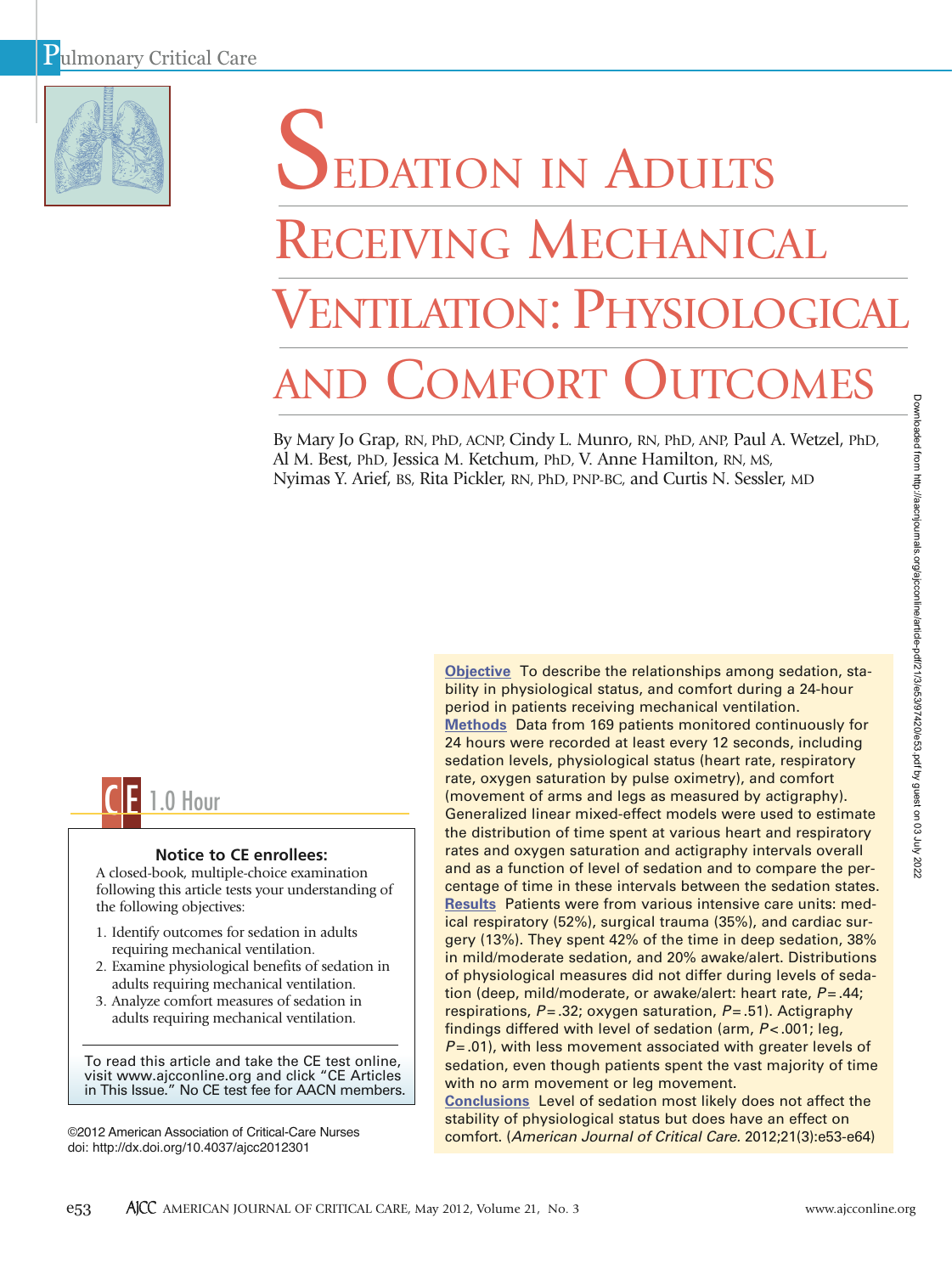

# SEDATION IN ADULTS RECEIVING MECHANICAL VENTILATION: PHYSIOLOGICAL **COMFORT OUTCOMES**

By Mary Jo Grap, RN, PhD, ACNP, Cindy L. Munro, RN, PhD, ANP, Paul A. Wetzel, PhD, Al M. Best, PhD, Jessica M. Ketchum, PhD, V. Anne Hamilton, RN, MS, Nyimas Y. Arief, BS, Rita Pickler, RN, PhD, PNP-BC, and Curtis N. Sessler, MD



# **Notice to CE enrollees:**

A closed-book, multiple-choice examination following this article tests your understanding of the following objectives:

- 1. Identify outcomes for sedation in adults requiring mechanical ventilation.
- 2. Examine physiological benefits of sedation in adults requiring mechanical ventilation.
- 3. Analyze comfort measures of sedation in adults requiring mechanical ventilation.

To read this article and take the CE test online, visit www.ajcconline.org and click "CE Articles in This Issue." No CE test fee for AACN members.

©2012 American Association of Critical-Care Nurses doi: http://dx.doi.org/10.4037/ajcc2012301

**Objective** To describe the relationships among sedation, stability in physiological status, and comfort during a 24-hour period in patients receiving mechanical ventilation. **Methods** Data from 169 patients monitored continuously for 24 hours were recorded at least every 12 seconds, including sedation levels, physiological status (heart rate, respiratory rate, oxygen saturation by pulse oximetry), and comfort (movement of arms and legs as measured by actigraphy). Generalized linear mixed-effect models were used to estimate the distribution of time spent at various heart and respiratory rates and oxygen saturation and actigraphy intervals overall and as a function of level of sedation and to compare the percentage of time in these intervals between the sedation states. **Results** Patients were from various intensive care units: medical respiratory (52%), surgical trauma (35%), and cardiac surgery (13%). They spent 42% of the time in deep sedation, 38% in mild/moderate sedation, and 20% awake/alert. Distributions of physiological measures did not differ during levels of sedation (deep, mild/moderate, or awake/alert: heart rate,  $P = .44$ ; respirations,  $P = 0.32$ ; oxygen saturation,  $P = 0.51$ ). Actigraphy findings differed with level of sedation (arm, *P* < .001; leg, *P* = .01), with less movement associated with greater levels of sedation, even though patients spent the vast majority of time with no arm movement or leg movement.

**Conclusions** Level of sedation most likely does not affect the stability of physiological status but does have an effect on comfort. (*American Journal of Critical Care.* 2012;21(3):e53-e64)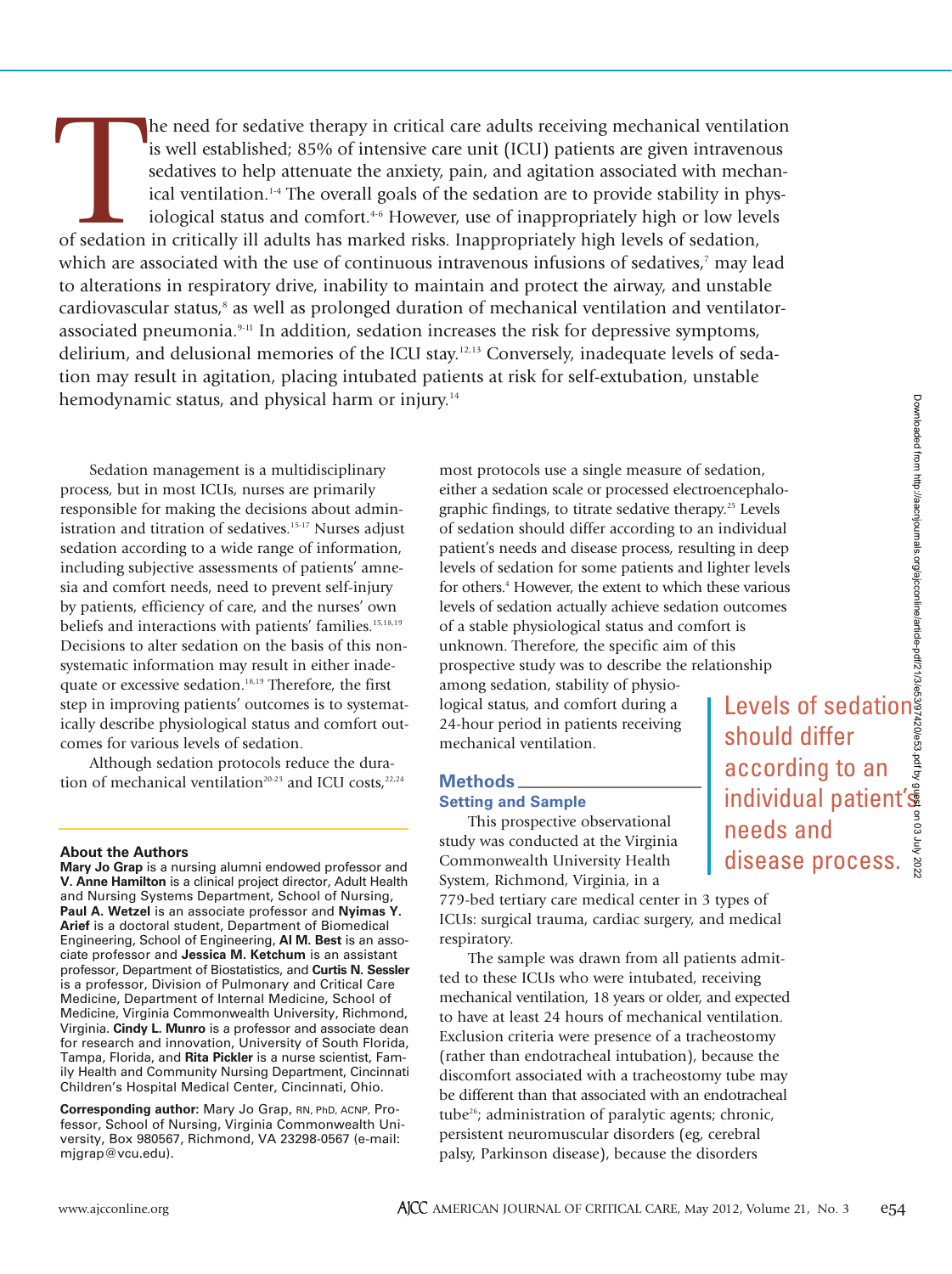The need for sedative therapy in critical care adults receiving mechanical ventilar is well established; 85% of intensive care unit (ICU) patients are given intravenosedatives to help attenuate the anxiety, pain, and agita he need for sedative therapy in critical care adults receiving mechanical ventilation is well established; 85% of intensive care unit (ICU) patients are given intravenous sedatives to help attenuate the anxiety, pain, and agitation associated with mechanical ventilation.1-4 The overall goals of the sedation are to provide stability in physiological status and comfort.<sup>4-6</sup> However, use of inappropriately high or low levels which are associated with the use of continuous intravenous infusions of sedatives,<sup>7</sup> may lead to alterations in respiratory drive, inability to maintain and protect the airway, and unstable cardiovascular status, $^8$  as well as prolonged duration of mechanical ventilation and ventilatorassociated pneumonia.9-11 In addition, sedation increases the risk for depressive symptoms, delirium, and delusional memories of the ICU stay.<sup>12,13</sup> Conversely, inadequate levels of sedation may result in agitation, placing intubated patients at risk for self-extubation, unstable hemodynamic status, and physical harm or injury.<sup>14</sup>

Sedation management is a multidisciplinary process, but in most ICUs, nurses are primarily responsible for making the decisions about administration and titration of sedatives.<sup>15-17</sup> Nurses adjust sedation according to a wide range of information, including subjective assessments of patients' amnesia and comfort needs, need to prevent self-injury by patients, efficiency of care, and the nurses' own beliefs and interactions with patients' families.15,18,19 Decisions to alter sedation on the basis of this nonsystematic information may result in either inadequate or excessive sedation.18,19 Therefore, the first step in improving patients' outcomes is to systematically describe physiological status and comfort outcomes for various levels of sedation.

Although sedation protocols reduce the duration of mechanical ventilation<sup>20-23</sup> and ICU costs,<sup>22,24</sup>

## **About the Authors**

**Mary Jo Grap** is a nursing alumni endowed professor and **V. Anne Hamilton** is a clinical project director, Adult Health and Nursing Systems Department, School of Nursing, **Paul A. Wetzel** is an associate professor and **Nyimas Y. Arief** is a doctoral student, Department of Biomedical Engineering, School of Engineering, **Al M. Best** is an associate professor and **Jessica M. Ketchum** is an assistant professor, Department of Biostatistics, and **Curtis N. Sessler** is a professor, Division of Pulmonary and Critical Care Medicine, Department of Internal Medicine, School of Medicine, Virginia Commonwealth University, Richmond, Virginia. **Cindy L. Munro** is a professor and associate dean for research and innovation, University of South Florida, Tampa, Florida, and **Rita Pickler** is a nurse scientist, Family Health and Community Nursing Department, Cincinnati Children's Hospital Medical Center, Cincinnati, Ohio.

**Corresponding author:** Mary Jo Grap, RN, PhD, ACNP, Professor, School of Nursing, Virginia Commonwealth University, Box 980567, Richmond, VA 23298-0567 (e-mail: mjgrap@vcu.edu).

most protocols use a single measure of sedation, either a sedation scale or processed electroencephalographic findings, to titrate sedative therapy.25 Levels of sedation should differ according to an individual patient's needs and disease process, resulting in deep levels of sedation for some patients and lighter levels for others.<sup>4</sup> However, the extent to which these various levels of sedation actually achieve sedation outcomes of a stable physiological status and comfort is unknown. Therefore, the specific aim of this prospective study was to describe the relationship

among sedation, stability of physiological status, and comfort during a 24-hour period in patients receiving mechanical ventilation.

# **Methods**

# **Setting and Sample**

This prospective observational study was conducted at the Virginia Commonwealth University Health System, Richmond, Virginia, in a

779-bed tertiary care medical center in 3 types of ICUs: surgical trauma, cardiac surgery, and medical respiratory.

The sample was drawn from all patients admitted to these ICUs who were intubated, receiving mechanical ventilation, 18 years or older, and expected to have at least 24 hours of mechanical ventilation. Exclusion criteria were presence of a tracheostomy (rather than endotracheal intubation), because the discomfort associated with a tracheostomy tube may be different than that associated with an endotracheal tube26; administration of paralytic agents; chronic, persistent neuromuscular disorders (eg, cerebral palsy, Parkinson disease), because the disorders

Levels of sedation should differ according to an individual patient's needs and disease process.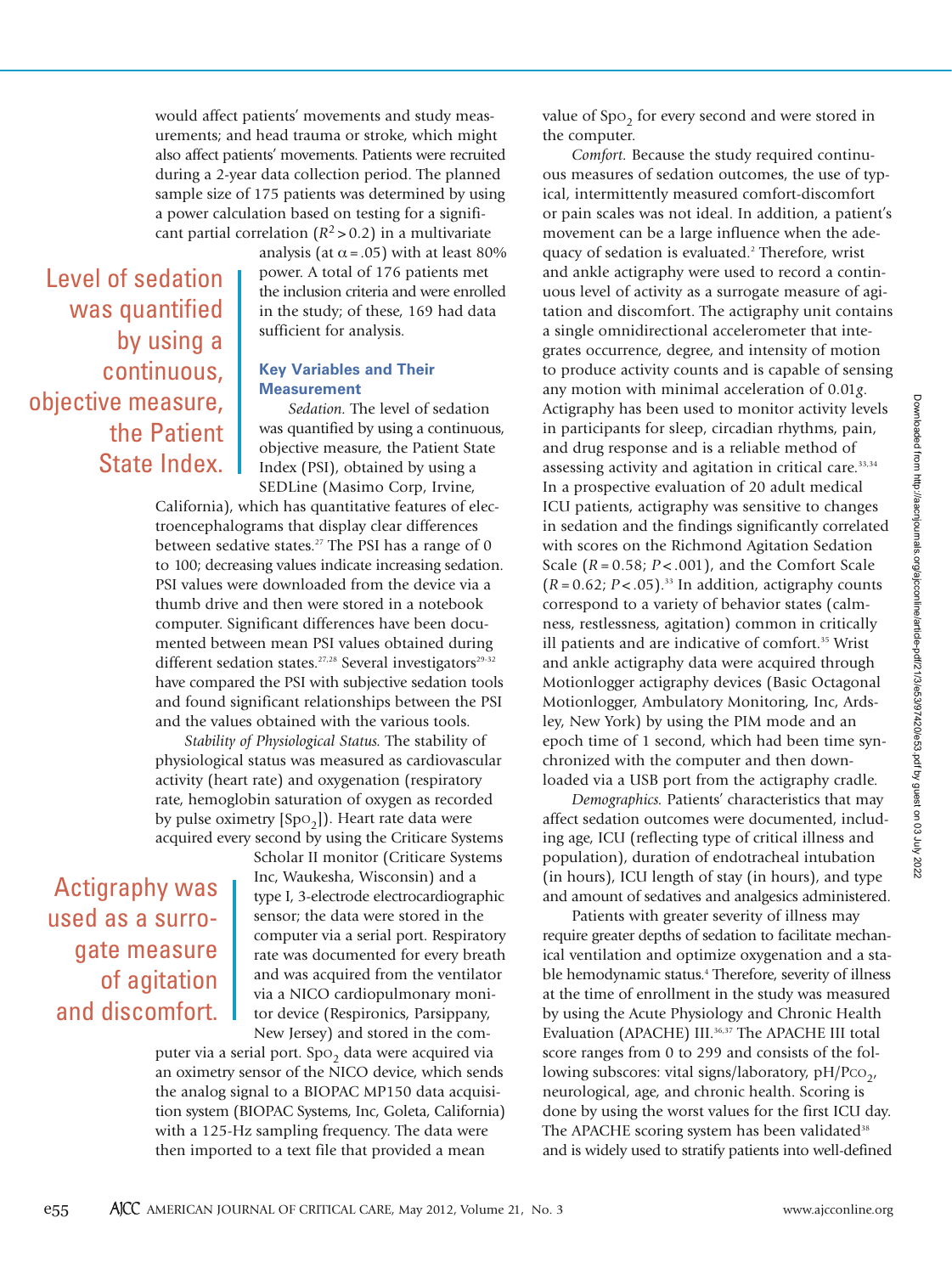would affect patients' movements and study measurements; and head trauma or stroke, which might also affect patients' movements. Patients were recruited during a 2-year data collection period. The planned sample size of 175 patients was determined by using a power calculation based on testing for a significant partial correlation  $(R^2 > 0.2)$  in a multivariate

Level of sedation was quantified by using a continuous, objective measure, the Patient State Index. analysis (at  $\alpha$  = .05) with at least 80% power. A total of 176 patients met the inclusion criteria and were enrolled in the study; of these, 169 had data sufficient for analysis.

## **Key Variables and Their Measurement**

*Sedation.* The level of sedation was quantified by using a continuous, objective measure, the Patient State Index (PSI), obtained by using a SEDLine (Masimo Corp, Irvine,

California), which has quantitative features of electroencephalograms that display clear differences between sedative states.<sup>27</sup> The PSI has a range of 0 to 100; decreasing values indicate increasing sedation. PSI values were downloaded from the device via a thumb drive and then were stored in a notebook computer. Significant differences have been documented between mean PSI values obtained during different sedation states.<sup>27,28</sup> Several investigators<sup>29,32</sup> have compared the PSI with subjective sedation tools and found significant relationships between the PSI and the values obtained with the various tools.

*Stability of Physiological Status.* The stability of physiological status was measured as cardiovascular activity (heart rate) and oxygenation (respiratory rate, hemoglobin saturation of oxygen as recorded by pulse oximetry  $[Spo_2]$ ). Heart rate data were acquired every second by using the Criticare Systems

Actigraphy was used as a surrogate measure of agitation and discomfort. Scholar II monitor (Criticare Systems Inc, Waukesha, Wisconsin) and a type I, 3-electrode electrocardiographic sensor; the data were stored in the computer via a serial port. Respiratory rate was documented for every breath and was acquired from the ventilator via a NICO cardiopulmonary monitor device (Respironics, Parsippany, New Jersey) and stored in the com-

puter via a serial port.  $Spo<sub>2</sub>$  data were acquired via an oximetry sensor of the NICO device, which sends the analog signal to a BIOPAC MP150 data acquisition system (BIOPAC Systems, Inc, Goleta, California) with a 125-Hz sampling frequency. The data were then imported to a text file that provided a mean

value of Spo<sub>2</sub> for every second and were stored in the computer.

*Comfort.* Because the study required continuous measures of sedation outcomes, the use of typical, intermittently measured comfort-discomfort or pain scales was not ideal. In addition, a patient's movement can be a large influence when the adequacy of sedation is evaluated.<sup>2</sup> Therefore, wrist and ankle actigraphy were used to record a continuous level of activity as a surrogate measure of agitation and discomfort. The actigraphy unit contains a single omnidirectional accelerometer that integrates occurrence, degree, and intensity of motion to produce activity counts and is capable of sensing any motion with minimal acceleration of 0.01*g*. Actigraphy has been used to monitor activity levels in participants for sleep, circadian rhythms, pain, and drug response and is a reliable method of assessing activity and agitation in critical care.<sup>33,34</sup> In a prospective evaluation of 20 adult medical ICU patients, actigraphy was sensitive to changes in sedation and the findings significantly correlated with scores on the Richmond Agitation Sedation Scale (*R* = 0.58; *P* < .001), and the Comfort Scale  $(R = 0.62; P < .05)$ .<sup>33</sup> In addition, actigraphy counts correspond to a variety of behavior states (calmness, restlessness, agitation) common in critically ill patients and are indicative of comfort.<sup>35</sup> Wrist and ankle actigraphy data were acquired through Motionlogger actigraphy devices (Basic Octagonal Motionlogger, Ambulatory Monitoring, Inc, Ardsley, New York) by using the PIM mode and an epoch time of 1 second, which had been time synchronized with the computer and then downloaded via a USB port from the actigraphy cradle.

*Demographics.* Patients' characteristics that may affect sedation outcomes were documented, including age, ICU (reflecting type of critical illness and population), duration of endotracheal intubation (in hours), ICU length of stay (in hours), and type and amount of sedatives and analgesics administered.

Patients with greater severity of illness may require greater depths of sedation to facilitate mechanical ventilation and optimize oxygenation and a stable hemodynamic status.<sup>4</sup> Therefore, severity of illness at the time of enrollment in the study was measured by using the Acute Physiology and Chronic Health Evaluation (APACHE) III.<sup>36,37</sup> The APACHE III total score ranges from 0 to 299 and consists of the following subscores: vital signs/laboratory,  $pH/PCO<sub>2</sub>$ , neurological, age, and chronic health. Scoring is done by using the worst values for the first ICU day. The APACHE scoring system has been validated<sup>38</sup> and is widely used to stratify patients into well-defined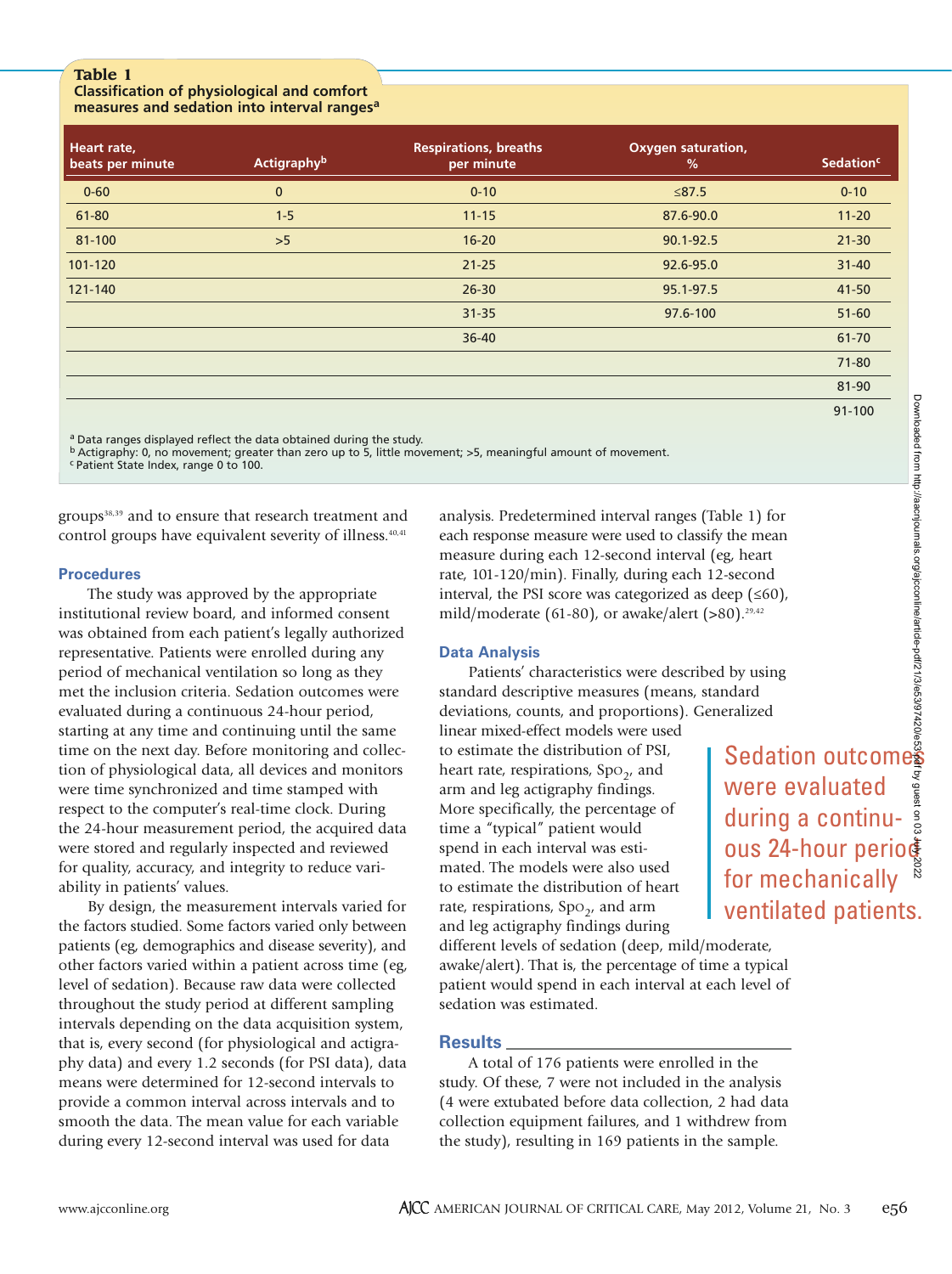# **Table 1**

## **Classification of physiological and comfort measures and sedation into interval ranges<sup>a</sup>**

| Heart rate,<br>beats per minute | <b>Actigraphyb</b> | <b>Respirations, breaths</b><br>per minute | <b>Oxygen saturation,</b><br>% | <b>Sedation<sup>c</sup></b> |
|---------------------------------|--------------------|--------------------------------------------|--------------------------------|-----------------------------|
| $0 - 60$                        | $\bf{0}$           | $0 - 10$                                   | $≤87.5$                        | $0 - 10$                    |
| 61-80                           | $1 - 5$            | $11 - 15$                                  | 87.6-90.0                      | $11 - 20$                   |
| 81-100                          | >5                 | $16 - 20$                                  | 90.1-92.5                      | $21 - 30$                   |
| 101-120                         |                    | $21 - 25$                                  | 92.6-95.0                      | $31 - 40$                   |
| 121-140                         |                    | $26 - 30$                                  | 95.1-97.5                      | 41-50                       |
|                                 |                    | $31 - 35$                                  | 97.6-100                       | $51 - 60$                   |
|                                 |                    | $36 - 40$                                  |                                | 61-70                       |
|                                 |                    |                                            |                                | $71 - 80$                   |
|                                 |                    |                                            |                                | 81-90                       |
|                                 |                    |                                            |                                | 91-100                      |

a Data ranges displayed reflect the data obtained during the study.

b Actigraphy: 0, no movement; greater than zero up to 5, little movement; >5, meaningful amount of movement.

c Patient State Index, range 0 to 100.

groups<sup>38,39</sup> and to ensure that research treatment and control groups have equivalent severity of illness.<sup>40,41</sup>

## **Procedures**

The study was approved by the appropriate institutional review board, and informed consent was obtained from each patient's legally authorized representative. Patients were enrolled during any period of mechanical ventilation so long as they met the inclusion criteria. Sedation outcomes were evaluated during a continuous 24-hour period, starting at any time and continuing until the same time on the next day. Before monitoring and collection of physiological data, all devices and monitors were time synchronized and time stamped with respect to the computer's real-time clock. During the 24-hour measurement period, the acquired data were stored and regularly inspected and reviewed for quality, accuracy, and integrity to reduce variability in patients' values.

By design, the measurement intervals varied for the factors studied. Some factors varied only between patients (eg, demographics and disease severity), and other factors varied within a patient across time (eg, level of sedation). Because raw data were collected throughout the study period at different sampling intervals depending on the data acquisition system, that is, every second (for physiological and actigraphy data) and every 1.2 seconds (for PSI data), data means were determined for 12-second intervals to provide a common interval across intervals and to smooth the data. The mean value for each variable during every 12-second interval was used for data

analysis. Predetermined interval ranges (Table 1) for each response measure were used to classify the mean measure during each 12-second interval (eg, heart rate, 101-120/min). Finally, during each 12-second interval, the PSI score was categorized as deep  $( \leq 60)$ , mild/moderate (61-80), or awake/alert  $(>80)$ .<sup>29,42</sup> ventilated Sedation outcomes and the mean g, heart<br>second<br>ep ( $\leq 60$ ),<br>(0).<sup>29,42</sup><br>by using<br>dard<br>railized<br>**Sedation outcomes and the mean**<br>during a continu-<br>ous 24-hour period for mechanically<br>for mechanically settled by

# **Data Analysis**

Patients' characteristics were described by using standard descriptive measures (means, standard deviations, counts, and proportions). Generalized linear mixed-effect models were used

to estimate the distribution of PSI, heart rate, respirations,  $Spo<sub>2</sub>$ , and arm and leg actigraphy findings. More specifically, the percentage of time a "typical" patient would spend in each interval was estimated. The models were also used to estimate the distribution of heart rate, respirations,  $Spo<sub>2</sub>$ , and arm and leg actigraphy findings during

different levels of sedation (deep, mild/moderate, awake/alert). That is, the percentage of time a typical patient would spend in each interval at each level of sedation was estimated.

# **Results**

A total of 176 patients were enrolled in the study. Of these, 7 were not included in the analysis (4 were extubated before data collection, 2 had data collection equipment failures, and 1 withdrew from the study), resulting in 169 patients in the sample.

were evaluated during a continu-

for mechanically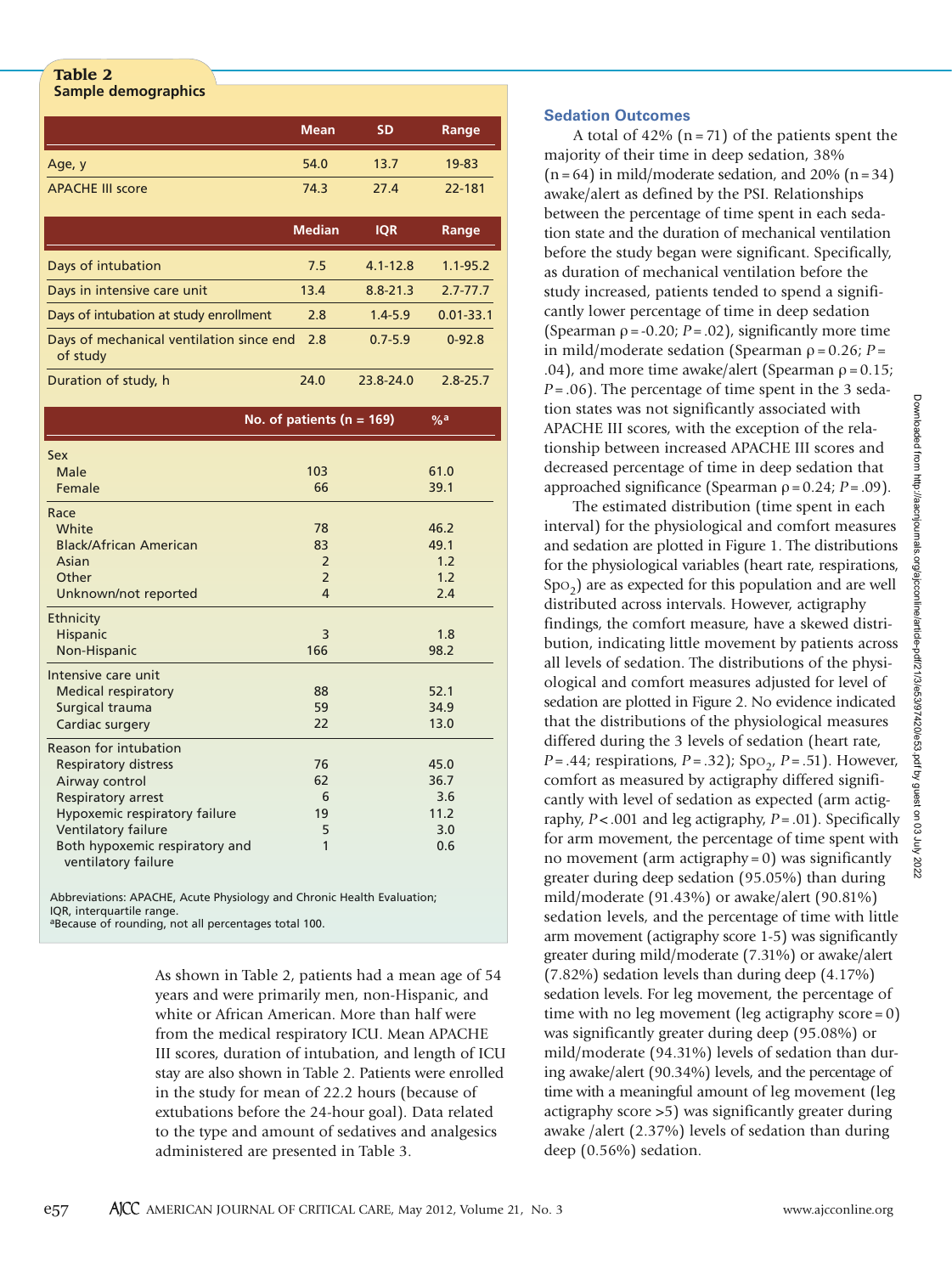#### **Table 2 Sample demographics**

|                                                                                                                                                                                                               | <b>Mean</b>                                       | <b>SD</b>    | Range                                     |
|---------------------------------------------------------------------------------------------------------------------------------------------------------------------------------------------------------------|---------------------------------------------------|--------------|-------------------------------------------|
| Age, y                                                                                                                                                                                                        | 54.0                                              | 13.7         | 19-83                                     |
| <b>APACHE III score</b>                                                                                                                                                                                       | 74.3                                              | 27.4         | 22-181                                    |
|                                                                                                                                                                                                               | <b>Median</b>                                     | <b>IQR</b>   | Range                                     |
| Days of intubation                                                                                                                                                                                            | 7.5                                               | $4.1 - 12.8$ | $1.1 - 95.2$                              |
| Days in intensive care unit                                                                                                                                                                                   | 13.4                                              | $8.8 - 21.3$ | $2.7 - 77.7$                              |
| Days of intubation at study enrollment                                                                                                                                                                        | 2.8                                               | $1.4 - 5.9$  | $0.01 - 33.1$                             |
| Days of mechanical ventilation since end<br>of study                                                                                                                                                          | 2.8                                               | $0.7 - 5.9$  | $0 - 92.8$                                |
| Duration of study, h                                                                                                                                                                                          | 24.0                                              | 23.8-24.0    | $2.8 - 25.7$                              |
|                                                                                                                                                                                                               | No. of patients ( $n = 169$ )                     |              | $\frac{9}{6}$ a                           |
| Sex<br>Male<br>Female                                                                                                                                                                                         | 103<br>66                                         |              | 61.0<br>39.1                              |
| Race<br>White<br><b>Black/African American</b><br>Asian<br>Other<br>Unknown/not reported                                                                                                                      | 78<br>83<br>$\overline{2}$<br>$\overline{2}$<br>4 |              | 46.2<br>49.1<br>1.2<br>1.2<br>2.4         |
| <b>Ethnicity</b><br>Hispanic<br>Non-Hispanic                                                                                                                                                                  | 3<br>166                                          |              | 1.8<br>98.2                               |
| Intensive care unit<br><b>Medical respiratory</b><br>Surgical trauma<br>Cardiac surgery                                                                                                                       | 88<br>59<br>22                                    |              | 52.1<br>34.9<br>13.0                      |
| Reason for intubation<br><b>Respiratory distress</b><br>Airway control<br>Respiratory arrest<br>Hypoxemic respiratory failure<br>Ventilatory failure<br>Both hypoxemic respiratory and<br>ventilatory failure | 76<br>62<br>6<br>19<br>5<br>1                     |              | 45.0<br>36.7<br>3.6<br>11.2<br>3.0<br>0.6 |

Abbreviations: APACHE, Acute Physiology and Chronic Health Evaluation; IQR, interquartile range. aBecause of rounding, not all percentages total 100.

> As shown in Table 2, patients had a mean age of 54 years and were primarily men, non-Hispanic, and white or African American. More than half were from the medical respiratory ICU. Mean APACHE III scores, duration of intubation, and length of ICU stay are also shown in Table 2. Patients were enrolled in the study for mean of 22.2 hours (because of extubations before the 24-hour goal). Data related to the type and amount of sedatives and analgesics administered are presented in Table 3.

# **Sedation Outcomes**

A total of  $42\%$  (n = 71) of the patients spent the majority of their time in deep sedation, 38%  $(n = 64)$  in mild/moderate sedation, and 20%  $(n = 34)$ awake/alert as defined by the PSI. Relationships between the percentage of time spent in each sedation state and the duration of mechanical ventilation before the study began were significant. Specifically, as duration of mechanical ventilation before the study increased, patients tended to spend a significantly lower percentage of time in deep sedation (Spearman  $\rho = -0.20$ ;  $P = .02$ ), significantly more time in mild/moderate sedation (Spearman  $ρ = 0.26$ ;  $P =$ .04), and more time awake/alert (Spearman  $\rho = 0.15$ ; *P* = .06). The percentage of time spent in the 3 sedation states was not significantly associated with APACHE III scores, with the exception of the relationship between increased APACHE III scores and decreased percentage of time in deep sedation that approached significance (Spearman ρ= 0.24; *P*= .09).

The estimated distribution (time spent in each interval) for the physiological and comfort measures and sedation are plotted in Figure 1. The distributions for the physiological variables (heart rate, respirations,  $Spo<sub>2</sub>$ ) are as expected for this population and are well distributed across intervals. However, actigraphy findings, the comfort measure, have a skewed distribution, indicating little movement by patients across all levels of sedation. The distributions of the physiological and comfort measures adjusted for level of sedation are plotted in Figure 2. No evidence indicated that the distributions of the physiological measures differed during the 3 levels of sedation (heart rate, *P* = .44; respirations, *P* = .32); Spo<sub>2</sub>, *P* = .51). However, comfort as measured by actigraphy differed significantly with level of sedation as expected (arm actigraphy, *P* < .001 and leg actigraphy, *P* = .01). Specifically for arm movement, the percentage of time spent with no movement (arm actigraphy =  $0$ ) was significantly greater during deep sedation (95.05%) than during mild/moderate (91.43%) or awake/alert (90.81%) sedation levels, and the percentage of time with little arm movement (actigraphy score 1-5) was significantly greater during mild/moderate (7.31%) or awake/alert (7.82%) sedation levels than during deep (4.17%) sedation levels. For leg movement, the percentage of time with no leg movement (leg actigraphy score = 0) was significantly greater during deep (95.08%) or mild/moderate (94.31%) levels of sedation than during awake/alert (90.34%) levels, and the percentage of time with a meaningful amount of leg movement (leg actigraphy score >5) was significantly greater during awake /alert (2.37%) levels of sedation than during deep (0.56%) sedation.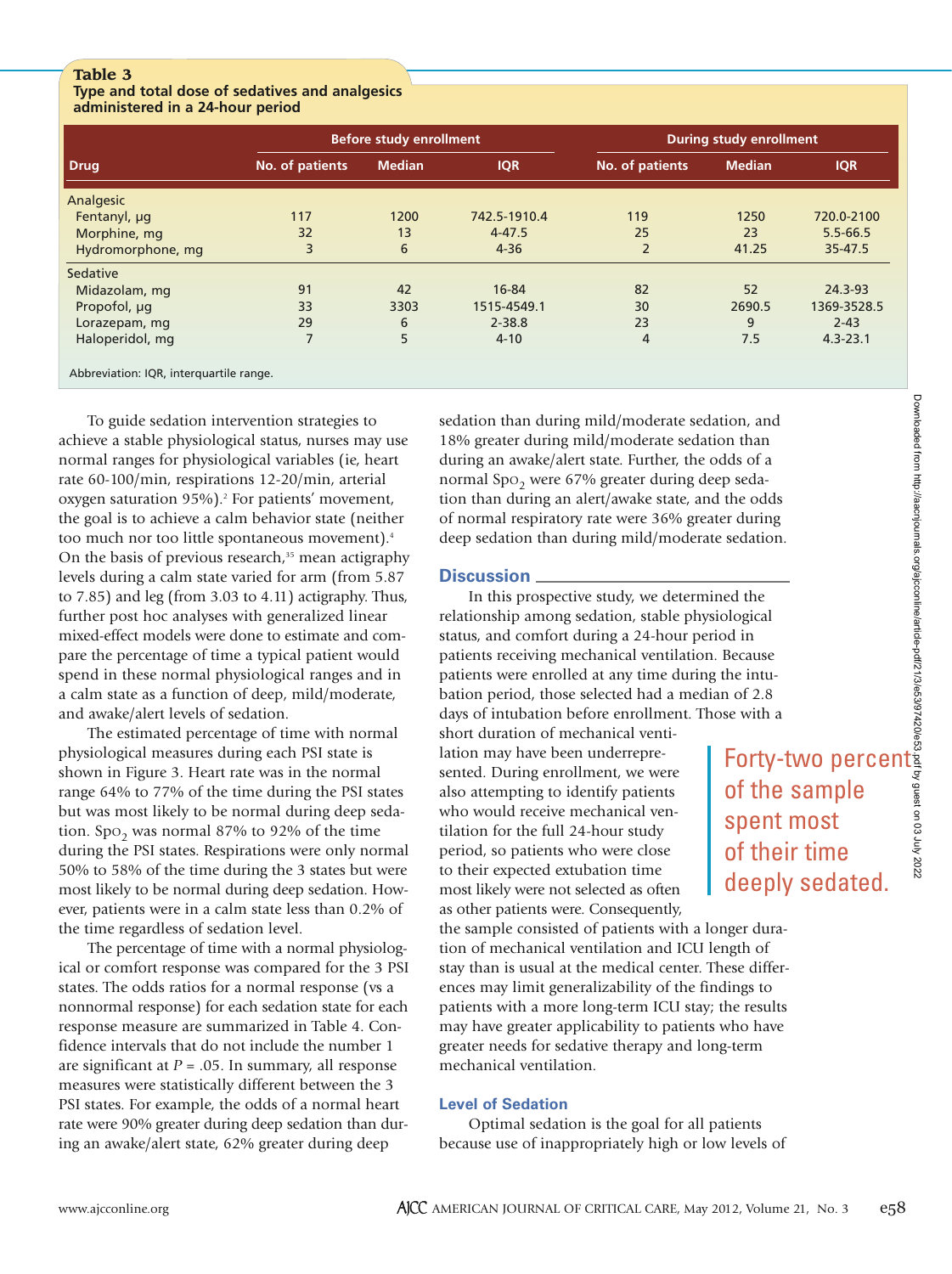# **Table 3**

## **Type and total dose of sedatives and analgesics administered in a 24-hour period**

|                                         |                 | Before study enrollment |              | <b>During study enrollment</b> |               |              |  |
|-----------------------------------------|-----------------|-------------------------|--------------|--------------------------------|---------------|--------------|--|
| <b>Drug</b>                             | No. of patients | <b>Median</b>           | <b>IQR</b>   | No. of patients                | <b>Median</b> | <b>IQR</b>   |  |
| Analgesic                               |                 |                         |              |                                |               |              |  |
| Fentanyl, µg                            | 117             | 1200                    | 742.5-1910.4 | 119                            | 1250          | 720.0-2100   |  |
| Morphine, mg                            | 32              | 13                      | $4 - 47.5$   | 25                             | 23            | $5.5 - 66.5$ |  |
| Hydromorphone, mg                       | 3               | 6                       | $4 - 36$     | $\overline{2}$                 | 41.25         | 35-47.5      |  |
| Sedative                                |                 |                         |              |                                |               |              |  |
| Midazolam, mg                           | 91              | 42                      | 16-84        | 82                             | 52            | 24.3-93      |  |
| Propofol, µg                            | 33              | 3303                    | 1515-4549.1  | 30                             | 2690.5        | 1369-3528.5  |  |
| Lorazepam, mg                           | 29              | 6                       | $2 - 38.8$   | 23                             | 9             | $2 - 43$     |  |
| Haloperidol, mg                         | $\overline{7}$  | 5                       | $4 - 10$     | 4                              | 7.5           | $4.3 - 23.1$ |  |
| Abbreviation: IQR, interquartile range. |                 |                         |              |                                |               |              |  |

To guide sedation intervention strategies to achieve a stable physiological status, nurses may use normal ranges for physiological variables (ie, heart rate 60-100/min, respirations 12-20/min, arterial oxygen saturation 95%).2 For patients' movement, the goal is to achieve a calm behavior state (neither too much nor too little spontaneous movement).4 On the basis of previous research, $35$  mean actigraphy levels during a calm state varied for arm (from 5.87 to 7.85) and leg (from 3.03 to 4.11) actigraphy. Thus, further post hoc analyses with generalized linear mixed-effect models were done to estimate and compare the percentage of time a typical patient would spend in these normal physiological ranges and in a calm state as a function of deep, mild/moderate, and awake/alert levels of sedation.

The estimated percentage of time with normal physiological measures during each PSI state is shown in Figure 3. Heart rate was in the normal range 64% to 77% of the time during the PSI states but was most likely to be normal during deep sedation. Spo<sub>2</sub> was normal 87% to 92% of the time during the PSI states. Respirations were only normal 50% to 58% of the time during the 3 states but were most likely to be normal during deep sedation. However, patients were in a calm state less than 0.2% of the time regardless of sedation level.

The percentage of time with a normal physiological or comfort response was compared for the 3 PSI states. The odds ratios for a normal response (vs a nonnormal response) for each sedation state for each response measure are summarized in Table 4. Confidence intervals that do not include the number 1 are significant at  $P = .05$ . In summary, all response measures were statistically different between the 3 PSI states. For example, the odds of a normal heart rate were 90% greater during deep sedation than during an awake/alert state, 62% greater during deep

sedation than during mild/moderate sedation, and 18% greater during mild/moderate sedation than during an awake/alert state. Further, the odds of a normal Spo<sub>2</sub> were 67% greater during deep sedation than during an alert/awake state, and the odds of normal respiratory rate were 36% greater during deep sedation than during mild/moderate sedation.

# **Discussion**

In this prospective study, we determined the relationship among sedation, stable physiological status, and comfort during a 24-hour period in patients receiving mechanical ventilation. Because patients were enrolled at any time during the intubation period, those selected had a median of 2.8 days of intubation before enrollment. Those with a

short duration of mechanical ventilation may have been underrepresented. During enrollment, we were also attempting to identify patients who would receive mechanical ventilation for the full 24-hour study period, so patients who were close to their expected extubation time most likely were not selected as often as other patients were. Consequently,

the sample consisted of patients with a longer duration of mechanical ventilation and ICU length of stay than is usual at the medical center. These differences may limit generalizability of the findings to patients with a more long-term ICU stay; the results may have greater applicability to patients who have greater needs for sedative therapy and long-term mechanical ventilation.

# **Level of Sedation**

Optimal sedation is the goal for all patients because use of inappropriately high or low levels of

Forty-two percent of the sample spent most of their time deeply sedated.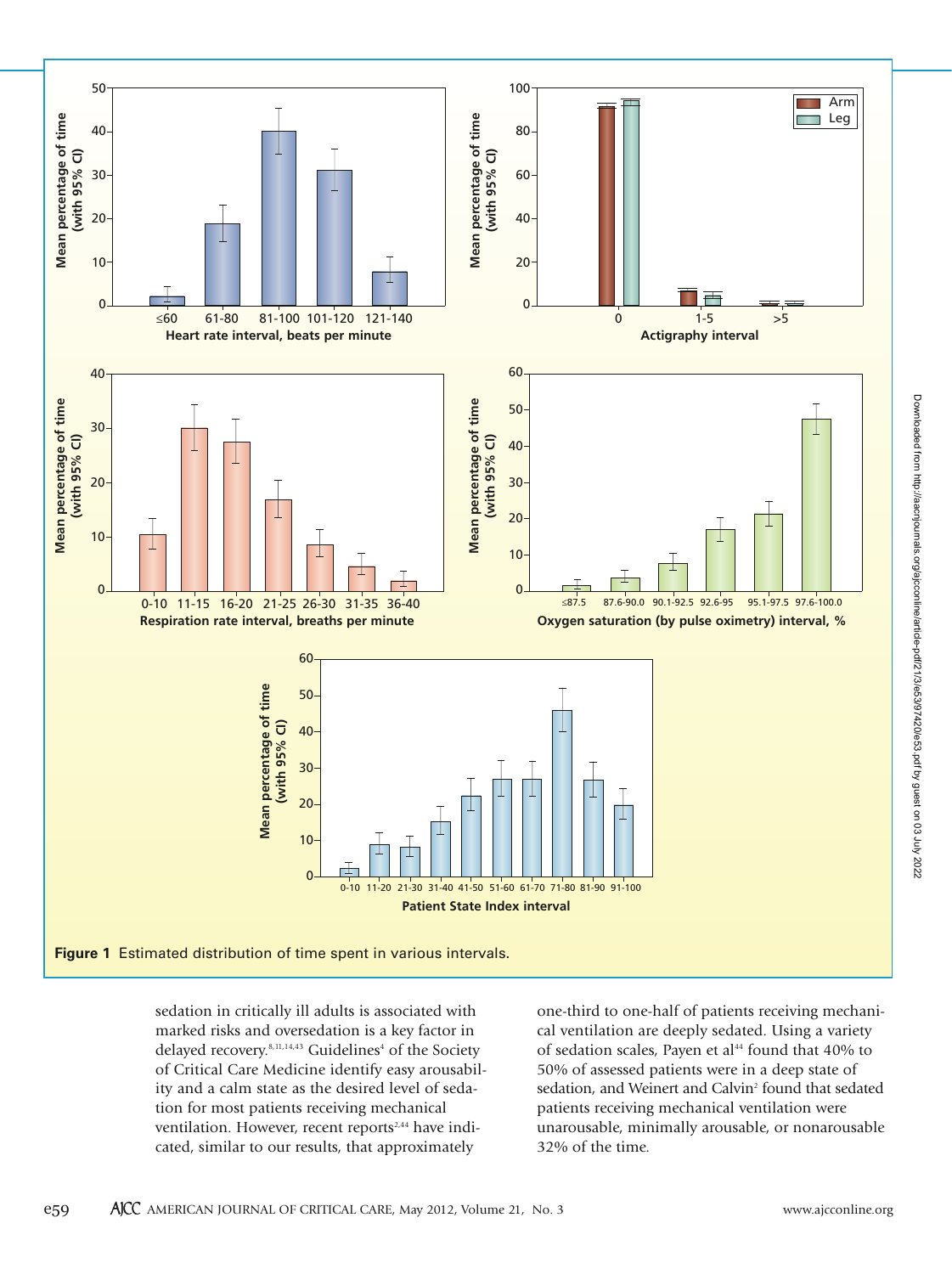

sedation in critically ill adults is associated with marked risks and oversedation is a key factor in delayed recovery.<sup>8,11,14,43</sup> Guidelines<sup>4</sup> of the Society of Critical Care Medicine identify easy arousability and a calm state as the desired level of sedation for most patients receiving mechanical ventilation. However, recent reports<sup>2,44</sup> have indicated, similar to our results, that approximately

one-third to one-half of patients receiving mechanical ventilation are deeply sedated. Using a variety of sedation scales, Payen et al<sup>44</sup> found that 40% to 50% of assessed patients were in a deep state of sedation, and Weinert and Calvin<sup>2</sup> found that sedated patients receiving mechanical ventilation were unarousable, minimally arousable, or nonarousable 32% of the time.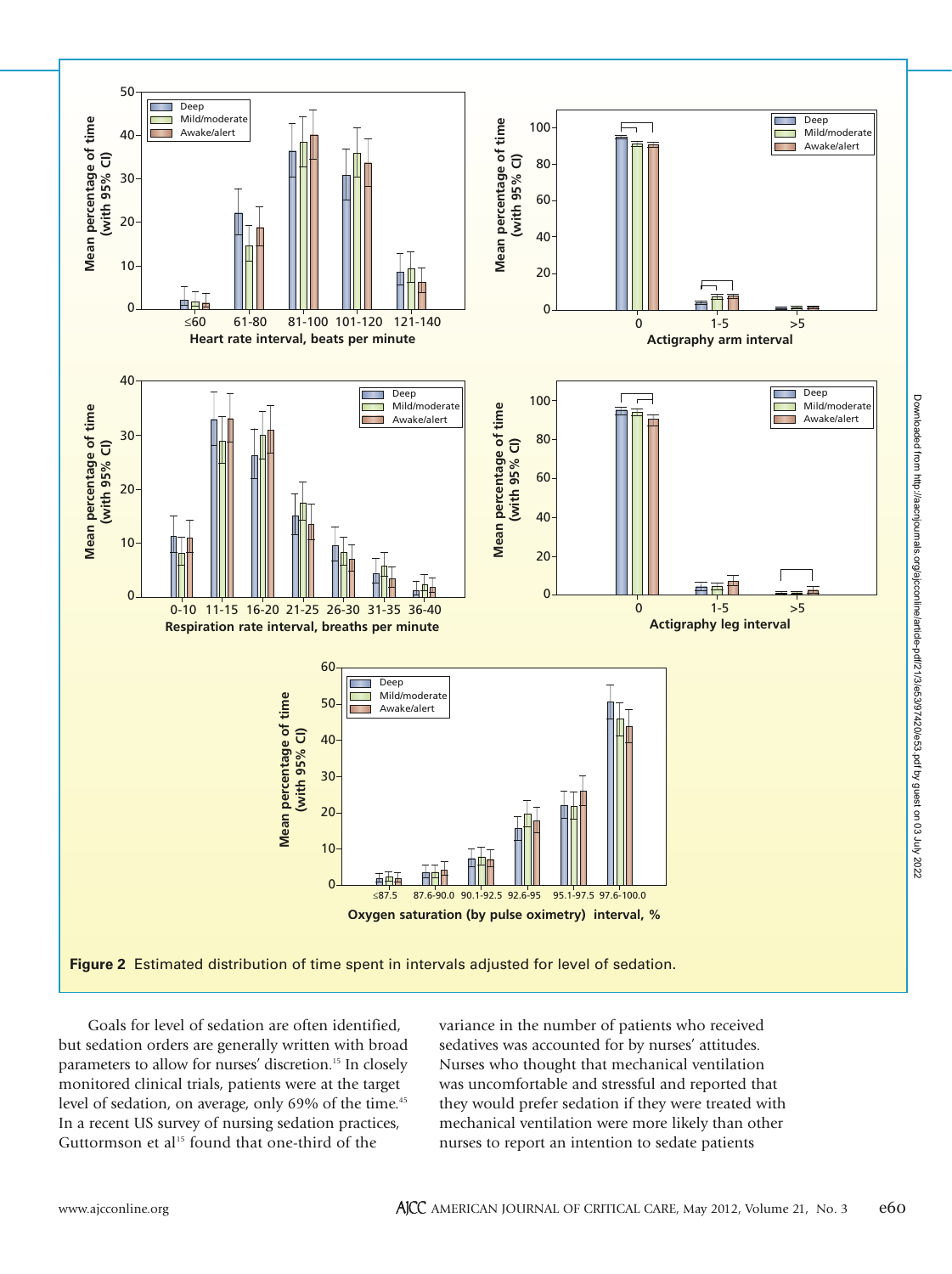

Goals for level of sedation are often identified, but sedation orders are generally written with broad parameters to allow for nurses' discretion.15 In closely monitored clinical trials, patients were at the target level of sedation, on average, only 69% of the time.<sup>45</sup> In a recent US survey of nursing sedation practices, Guttormson et al<sup>15</sup> found that one-third of the

variance in the number of patients who received sedatives was accounted for by nurses' attitudes. Nurses who thought that mechanical ventilation was uncomfortable and stressful and reported that they would prefer sedation if they were treated with mechanical ventilation were more likely than other nurses to report an intention to sedate patients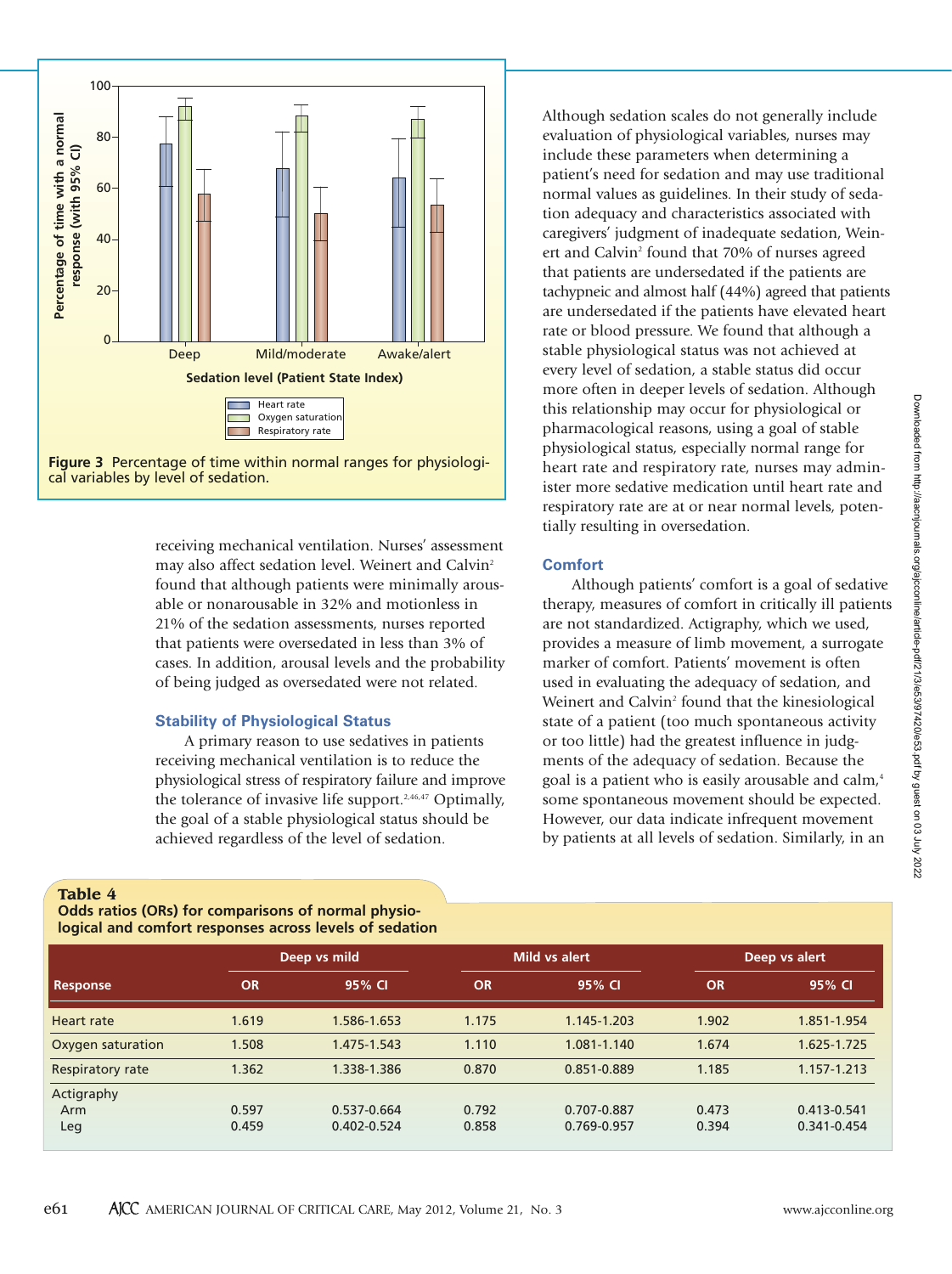



receiving mechanical ventilation. Nurses' assessment may also affect sedation level. Weinert and Calvin<sup>2</sup> found that although patients were minimally arousable or nonarousable in 32% and motionless in 21% of the sedation assessments, nurses reported that patients were oversedated in less than 3% of cases. In addition, arousal levels and the probability of being judged as oversedated were not related.

## **Stability of Physiological Status**

A primary reason to use sedatives in patients receiving mechanical ventilation is to reduce the physiological stress of respiratory failure and improve the tolerance of invasive life support.<sup>2,46,47</sup> Optimally, the goal of a stable physiological status should be achieved regardless of the level of sedation.

Although sedation scales do not generally include evaluation of physiological variables, nurses may include these parameters when determining a patient's need for sedation and may use traditional normal values as guidelines. In their study of sedation adequacy and characteristics associated with caregivers' judgment of inadequate sedation, Weinert and Calvin<sup>2</sup> found that 70% of nurses agreed that patients are undersedated if the patients are tachypneic and almost half (44%) agreed that patients are undersedated if the patients have elevated heart rate or blood pressure. We found that although a stable physiological status was not achieved at every level of sedation, a stable status did occur more often in deeper levels of sedation. Although this relationship may occur for physiological or pharmacological reasons, using a goal of stable physiological status, especially normal range for heart rate and respiratory rate, nurses may administer more sedative medication until heart rate and respiratory rate are at or near normal levels, potentially resulting in oversedation.

## **Comfort**

Although patients' comfort is a goal of sedative therapy, measures of comfort in critically ill patients are not standardized. Actigraphy, which we used, provides a measure of limb movement, a surrogate marker of comfort. Patients' movement is often used in evaluating the adequacy of sedation, and Weinert and Calvin<sup>2</sup> found that the kinesiological state of a patient (too much spontaneous activity or too little) had the greatest influence in judgments of the adequacy of sedation. Because the goal is a patient who is easily arousable and calm,<sup>4</sup> some spontaneous movement should be expected. However, our data indicate infrequent movement by patients at all levels of sedation. Similarly, in an

## **Table 4**

**Odds ratios (ORs) for comparisons of normal physiological and comfort responses across levels of sedation**

|                   |           | Deep vs mild    |           | Mild vs alert | Deep vs alert |             |  |
|-------------------|-----------|-----------------|-----------|---------------|---------------|-------------|--|
| <b>Response</b>   | <b>OR</b> | 95% CI          | <b>OR</b> | 95% CI        | <b>OR</b>     | 95% CI      |  |
| Heart rate        | 1.619     | 1.586-1.653     | 1.175     | 1.145-1.203   | 1.902         | 1.851-1.954 |  |
| Oxygen saturation | 1.508     | 1.475-1.543     | 1.110     | 1.081-1.140   | 1.674         | 1.625-1.725 |  |
| Respiratory rate  | 1.362     | 1.338-1.386     | 0.870     | 0.851-0.889   | 1.185         | 1.157-1.213 |  |
| Actigraphy        |           |                 |           |               |               |             |  |
| Arm               | 0.597     | 0.537-0.664     | 0.792     | 0.707-0.887   | 0.473         | 0.413-0.541 |  |
| Leg               | 0.459     | $0.402 - 0.524$ | 0.858     | 0.769-0.957   | 0.394         | 0.341-0.454 |  |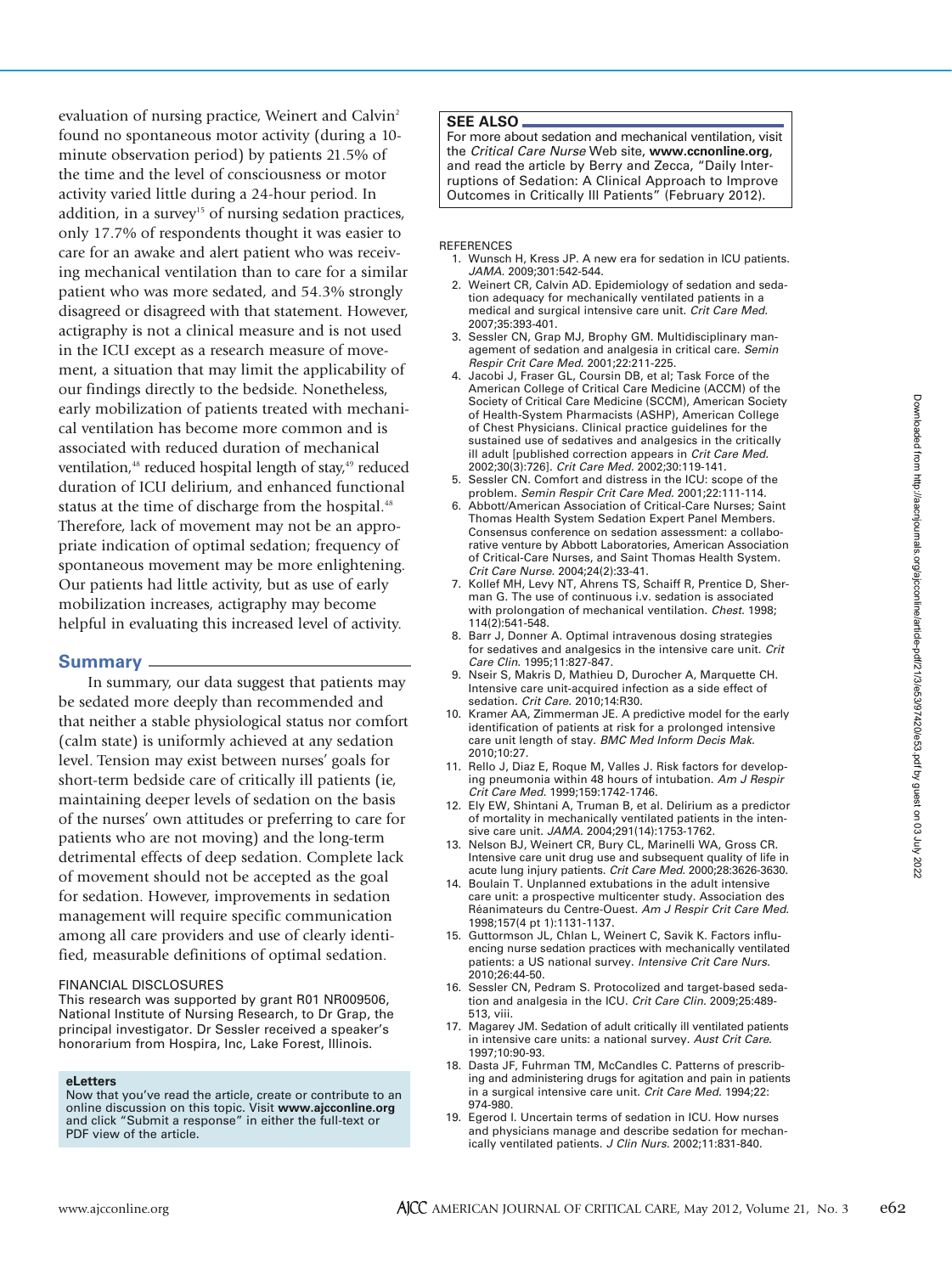evaluation of nursing practice, Weinert and Calvin<sup>2</sup> found no spontaneous motor activity (during a 10 minute observation period) by patients 21.5% of the time and the level of consciousness or motor activity varied little during a 24-hour period. In addition, in a survey<sup>15</sup> of nursing sedation practices, only 17.7% of respondents thought it was easier to care for an awake and alert patient who was receiving mechanical ventilation than to care for a similar patient who was more sedated, and 54.3% strongly disagreed or disagreed with that statement. However, actigraphy is not a clinical measure and is not used in the ICU except as a research measure of movement, a situation that may limit the applicability of our findings directly to the bedside. Nonetheless, early mobilization of patients treated with mechanical ventilation has become more common and is associated with reduced duration of mechanical ventilation,<sup>48</sup> reduced hospital length of stay,<sup>49</sup> reduced duration of ICU delirium, and enhanced functional status at the time of discharge from the hospital.<sup>48</sup> Therefore, lack of movement may not be an appropriate indication of optimal sedation; frequency of spontaneous movement may be more enlightening. Our patients had little activity, but as use of early mobilization increases, actigraphy may become helpful in evaluating this increased level of activity.

# **Summary**

In summary, our data suggest that patients may be sedated more deeply than recommended and that neither a stable physiological status nor comfort (calm state) is uniformly achieved at any sedation level. Tension may exist between nurses' goals for short-term bedside care of critically ill patients (ie, maintaining deeper levels of sedation on the basis of the nurses' own attitudes or preferring to care for patients who are not moving) and the long-term detrimental effects of deep sedation. Complete lack of movement should not be accepted as the goal for sedation. However, improvements in sedation management will require specific communication among all care providers and use of clearly identified, measurable definitions of optimal sedation.

## FINANCIAL DISCLOSURES

This research was supported by grant R01 NR009506, National Institute of Nursing Research, to Dr Grap, the principal investigator. Dr Sessler received a speaker's honorarium from Hospira, Inc, Lake Forest, Illinois.

#### **eLetters**

Now that you've read the article, create or contribute to an online discussion on this topic. Visit **www.ajcconline.org** and click "Submit a response" in either the full-text or PDF view of the article.

## **SEE ALSO**

For more about sedation and mechanical ventilation, visit the *Critical Care Nurse* Web site, **www.ccnonline.org**, and read the article by Berry and Zecca, "Daily Interruptions of Sedation: A Clinical Approach to Improve Outcomes in Critically Ill Patients" (February 2012).

## REFERENCES

- 1. Wunsch H, Kress JP. A new era for sedation in ICU patients. *JAMA.* 2009;301:542-544.
- 2. Weinert CR, Calvin AD. Epidemiology of sedation and sedation adequacy for mechanically ventilated patients in a medical and surgical intensive care unit. *Crit Care Med.* 2007;35:393-401.
- 3. Sessler CN, Grap MJ, Brophy GM. Multidisciplinary management of sedation and analgesia in critical care. *Semin Respir Crit Care Med.* 2001;22:211-225.
- 4. Jacobi J, Fraser GL, Coursin DB, et al; Task Force of the American College of Critical Care Medicine (ACCM) of the Society of Critical Care Medicine (SCCM), American Society of Health-System Pharmacists (ASHP), American College of Chest Physicians. Clinical practice guidelines for the sustained use of sedatives and analgesics in the critically ill adult [published correction appears in *Crit Care Med.* 2002;30(3):726]. *Crit Care Med.* 2002;30:119-141.
- 5. Sessler CN. Comfort and distress in the ICU: scope of the problem. *Semin Respir Crit Care Med.* 2001;22:111-114.
- 6. Abbott/American Association of Critical-Care Nurses; Saint Thomas Health System Sedation Expert Panel Members. Consensus conference on sedation assessment: a collaborative venture by Abbott Laboratories, American Association of Critical-Care Nurses, and Saint Thomas Health System. *Crit Care Nurse.* 2004;24(2):33-41.
- 7. Kollef MH, Levy NT, Ahrens TS, Schaiff R, Prentice D, Sherman G. The use of continuous i.v. sedation is associated with prolongation of mechanical ventilation. *Chest.* 1998; 114(2):541-548.
- 8. Barr J, Donner A. Optimal intravenous dosing strategies for sedatives and analgesics in the intensive care unit. *Crit Care Clin.* 1995;11:827-847.
- 9. Nseir S, Makris D, Mathieu D, Durocher A, Marquette CH. Intensive care unit-acquired infection as a side effect of sedation. *Crit Care.* 2010;14:R30.
- 10. Kramer AA, Zimmerman JE. A predictive model for the early identification of patients at risk for a prolonged intensive care unit length of stay. *BMC Med Inform Decis Mak.* 2010;10:27.
- 11. Rello J, Diaz E, Roque M, Valles J. Risk factors for developing pneumonia within 48 hours of intubation. *Am J Respir Crit Care Med.* 1999;159:1742-1746.
- 12. Ely EW, Shintani A, Truman B, et al. Delirium as a predictor of mortality in mechanically ventilated patients in the intensive care unit. *JAMA.* 2004;291(14):1753-1762.
- 13. Nelson BJ, Weinert CR, Bury CL, Marinelli WA, Gross CR. Intensive care unit drug use and subsequent quality of life in acute lung injury patients. *Crit Care Med.* 2000;28:3626-3630.
- 14. Boulain T. Unplanned extubations in the adult intensive care unit: a prospective multicenter study. Association des Réanimateurs du Centre-Ouest. *Am J Respir Crit Care Med.* 1998;157(4 pt 1):1131-1137.
- 15. Guttormson JL, Chlan L, Weinert C, Savik K. Factors influencing nurse sedation practices with mechanically ventilated patients: a US national survey. *Intensive Crit Care Nurs.* 2010;26:44-50.
- 16. Sessler CN, Pedram S. Protocolized and target-based sedation and analgesia in the ICU. *Crit Care Clin.* 2009;25:489- 513, viii.
- 17. Magarey JM. Sedation of adult critically ill ventilated patients in intensive care units: a national survey. *Aust Crit Care.* 1997;10:90-93.
- 18. Dasta JF, Fuhrman TM, McCandles C. Patterns of prescribing and administering drugs for agitation and pain in patients in a surgical intensive care unit. *Crit Care Med.* 1994;22: 974-980.
- 19. Egerod I. Uncertain terms of sedation in ICU. How nurses and physicians manage and describe sedation for mechanically ventilated patients. *J Clin Nurs.* 2002;11:831-840.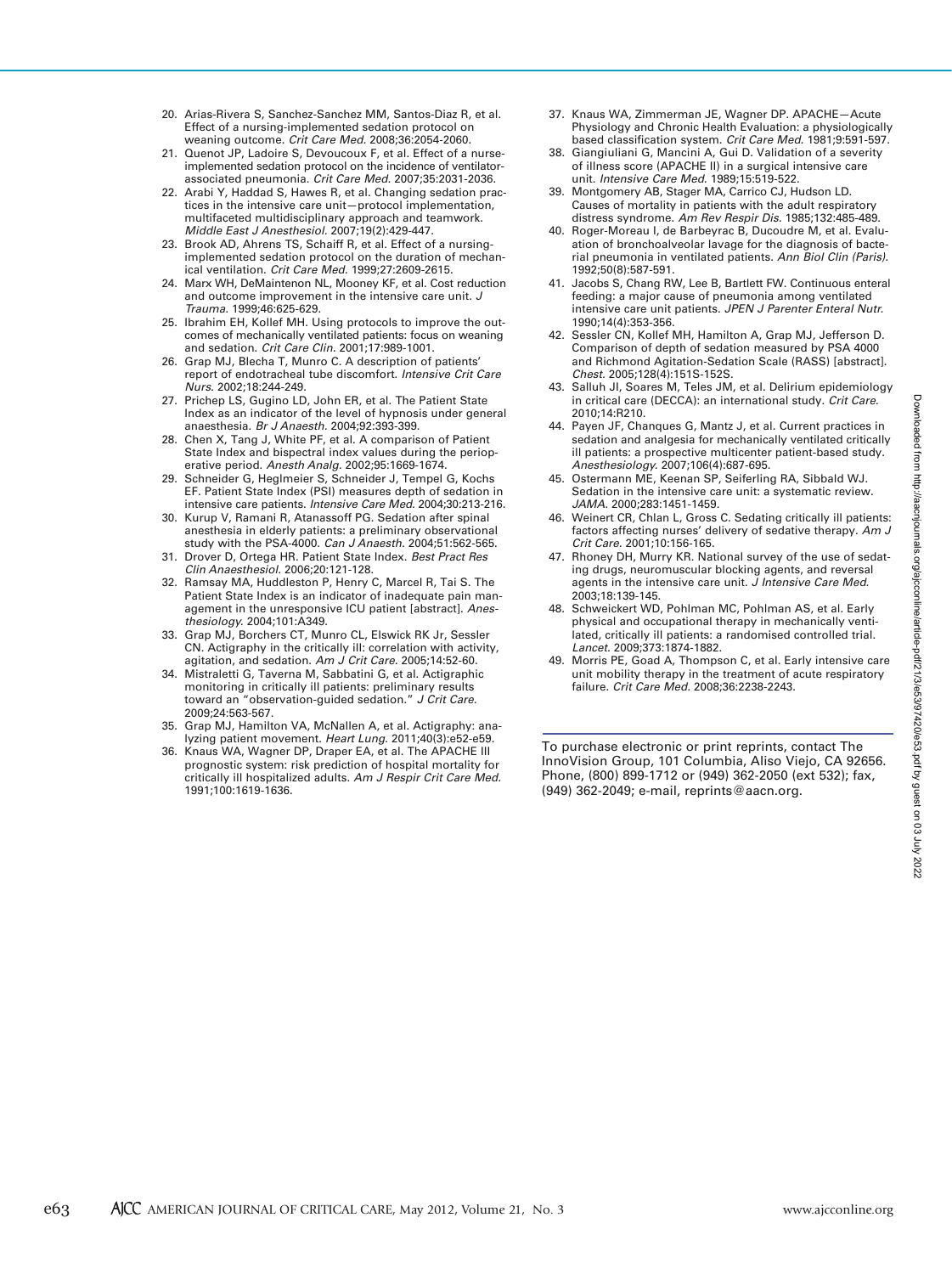- 20. Arias-Rivera S, Sanchez-Sanchez MM, Santos-Diaz R, et al. Effect of a nursing-implemented sedation protocol on weaning outcome. *Crit Care Med.* 2008;36:2054-2060.
- 21. Quenot JP, Ladoire S, Devoucoux F, et al. Effect of a nurseimplemented sedation protocol on the incidence of ventilatorassociated pneumonia. *Crit Care Med.* 2007;35:2031-2036.
- 22. Arabi Y, Haddad S, Hawes R, et al. Changing sedation practices in the intensive care unit—protocol implementation, multifaceted multidisciplinary approach and teamwork. *Middle East J Anesthesiol.* 2007;19(2):429-447.
- 23. Brook AD, Ahrens TS, Schaiff R, et al. Effect of a nursingimplemented sedation protocol on the duration of mechanical ventilation. *Crit Care Med.* 1999;27:2609-2615.
- 24. Marx WH, DeMaintenon NL, Mooney KF, et al. Cost reduction and outcome improvement in the intensive care unit. *J Trauma.* 1999;46:625-629.
- 25. Ibrahim EH, Kollef MH. Using protocols to improve the outcomes of mechanically ventilated patients: focus on weaning and sedation. *Crit Care Clin.* 2001;17:989-1001.
- 26. Grap MJ, Blecha T, Munro C. A description of patients' report of endotracheal tube discomfort. *Intensive Crit Care Nurs.* 2002;18:244-249.
- 27. Prichep LS, Gugino LD, John ER, et al. The Patient State Index as an indicator of the level of hypnosis under general anaesthesia. *Br J Anaesth.* 2004;92:393-399.
- 28. Chen X, Tang J, White PF, et al. A comparison of Patient State Index and bispectral index values during the perioperative period. *Anesth Analg.* 2002;95:1669-1674.
- 29. Schneider G, Heglmeier S, Schneider J, Tempel G, Kochs EF. Patient State Index (PSI) measures depth of sedation in intensive care patients. *Intensive Care Med.* 2004;30:213-216.
- 30. Kurup V, Ramani R, Atanassoff PG. Sedation after spinal anesthesia in elderly patients: a preliminary observational study with the PSA-4000. *Can J Anaesth.* 2004;51:562-565.
- 31. Drover D, Ortega HR. Patient State Index. *Best Pract Res Clin Anaesthesiol.* 2006;20:121-128.
- 32. Ramsay MA, Huddleston P, Henry C, Marcel R, Tai S. The Patient State Index is an indicator of inadequate pain management in the unresponsive ICU patient [abstract]. *Anesthesiology.* 2004;101:A349.
- 33. Grap MJ, Borchers CT, Munro CL, Elswick RK Jr, Sessler CN. Actigraphy in the critically ill: correlation with activity, agitation, and sedation. *Am J Crit Care.* 2005;14:52-60.
- 34. Mistraletti G, Taverna M, Sabbatini G, et al. Actigraphic monitoring in critically ill patients: preliminary results toward an "observation-guided sedation." *J Crit Care.* 2009;24:563-567.
- 35. Grap MJ, Hamilton VA, McNallen A, et al. Actigraphy: analyzing patient movement. *Heart Lung.* 2011;40(3):e52-e59.
- 36. Knaus WA, Wagner DP, Draper EA, et al. The APACHE III prognostic system: risk prediction of hospital mortality for critically ill hospitalized adults. *Am J Respir Crit Care Med.* 1991;100:1619-1636.
- 37. Knaus WA, Zimmerman JE, Wagner DP. APACHE—Acute Physiology and Chronic Health Evaluation: a physiologically based classification system. *Crit Care Med.* 1981;9:591-597.
- 38. Giangiuliani G, Mancini A, Gui D. Validation of a severity of illness score (APACHE II) in a surgical intensive care unit. *Intensive Care Med.* 1989;15:519-522.
- 39. Montgomery AB, Stager MA, Carrico CJ, Hudson LD. Causes of mortality in patients with the adult respiratory distress syndrome. *Am Rev Respir Dis.* 1985;132:485-489.
- 40. Roger-Moreau I, de Barbeyrac B, Ducoudre M, et al. Evaluation of bronchoalveolar lavage for the diagnosis of bacterial pneumonia in ventilated patients. *Ann Biol Clin (Paris).* 1992;50(8):587-591.
- 41. Jacobs S, Chang RW, Lee B, Bartlett FW. Continuous enteral feeding: a major cause of pneumonia among ventilated intensive care unit patients. *JPEN J Parenter Enteral Nutr.* 1990;14(4):353-356.
- 42. Sessler CN, Kollef MH, Hamilton A, Grap MJ, Jefferson D. Comparison of depth of sedation measured by PSA 4000 and Richmond Agitation-Sedation Scale (RASS) [abstract]. *Chest.* 2005;128(4):151S-152S.
- 43. Salluh JI, Soares M, Teles JM, et al. Delirium epidemiology in critical care (DECCA): an international study. *Crit Care.* 2010;14:R210.
- 44. Payen JF, Chanques G, Mantz J, et al. Current practices in sedation and analgesia for mechanically ventilated critically ill patients: a prospective multicenter patient-based study. *Anesthesiology.* 2007;106(4):687-695.
- 45. Ostermann ME, Keenan SP, Seiferling RA, Sibbald WJ. Sedation in the intensive care unit: a systematic review. *JAMA.* 2000;283:1451-1459.
- 46. Weinert CR, Chlan L, Gross C. Sedating critically ill patients: factors affecting nurses' delivery of sedative therapy. *Am J Crit Care.* 2001;10:156-165.
- 47. Rhoney DH, Murry KR. National survey of the use of sedating drugs, neuromuscular blocking agents, and reversal agents in the intensive care unit. *J Intensive Care Med.* 2003;18:139-145.
- 48. Schweickert WD, Pohlman MC, Pohlman AS, et al. Early physical and occupational therapy in mechanically ventilated, critically ill patients: a randomised controlled trial. *Lancet.* 2009;373:1874-1882.
- 49. Morris PE, Goad A, Thompson C, et al. Early intensive care unit mobility therapy in the treatment of acute respiratory failure. *Crit Care Med.* 2008;36:2238-2243.

To purchase electronic or print reprints, contact The InnoVision Group, 101 Columbia, Aliso Viejo, CA 92656. Phone, (800) 899-1712 or (949) 362-2050 (ext 532); fax, (949) 362-2049; e-mail, reprints@aacn.org.